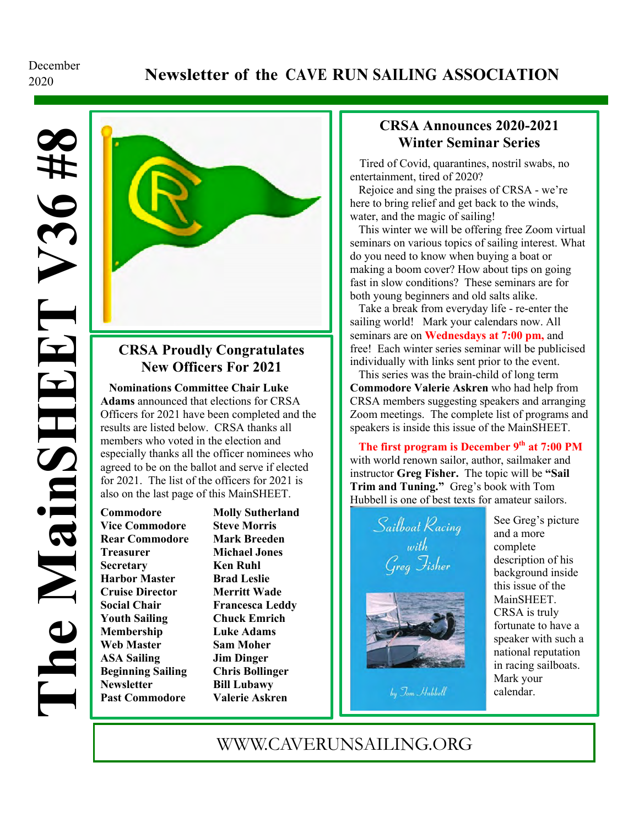# December

### <sup>2020</sup> **Newsletter of the CAVE RUN SAILING ASSOCIATION**



### **CRSA Proudly Congratulates New Officers For 2021**

 **Nominations Committee Chair Luke Adams** announced that elections for CRSA Officers for 2021 have been completed and the results are listed below. CRSA thanks all members who voted in the election and especially thanks all the officer nominees who agreed to be on the ballot and serve if elected for 2021. The list of the officers for 2021 is also on the last page of this MainSHEET.

**Commodore Molly Sutherland Vice Commodore Steve Morris Rear Commodore Mark Breeden Treasurer Michael Jones Secretary Ken Ruhl Harbor Master Brad Leslie Cruise Director Merritt Wade Social Chair Francesca Leddy Youth Sailing Chuck Emrich Membership Luke Adams Web Master Sam Moher ASA Sailing Jim Dinger Beginning Sailing Chris Bollinger Newsletter Bill Lubawy Past Commodore Valerie Askren**

#### **CRSA Announces 2020-2021 Winter Seminar Series**

 entertainment, tired of 2020? Tired of Covid, quarantines, nostril swabs, no

Rejoice and sing the praises of CRSA - we're here to bring relief and get back to the winds, water, and the magic of sailing!

 This winter we will be offering free Zoom virtual seminars on various topics of sailing interest. What do you need to know when buying a boat or fast in slow conditions? These seminars are for making a boom cover? How about tips on going both young beginners and old salts alike.

 Take a break from everyday life - re-enter the sailing world! Mark your calendars now. All seminars are on **Wednesdays at 7:00 pm,** and free! Each winter series seminar will be publicised individually with links sent prior to the event.

 This series was the brain-child of long term **Commodore Valerie Askren** who had help from CRSA members suggesting speakers and arranging Zoom meetings. The complete list of programs and speakers is inside this issue of the MainSHEET.

The first program is December 9<sup>th</sup> at 7:00 PM with world renown sailor, author, sailmaker and instructor **Greg Fisher.** The topic will be **"Sail Trim and Tuning."** Greg's book with Tom Hubbell is one of best texts for amateur sailors.

Sailboat Racing<br>with wun<br>Greg Fisher

by Jom Hubbell

See Greg's picture and a more complete description of his background inside this issue of the MainSHEET. CRSA is truly fortunate to have a speaker with such a national reputation in racing sailboats. Mark your calendar.

### WWW.CAVERUNSAILING.ORG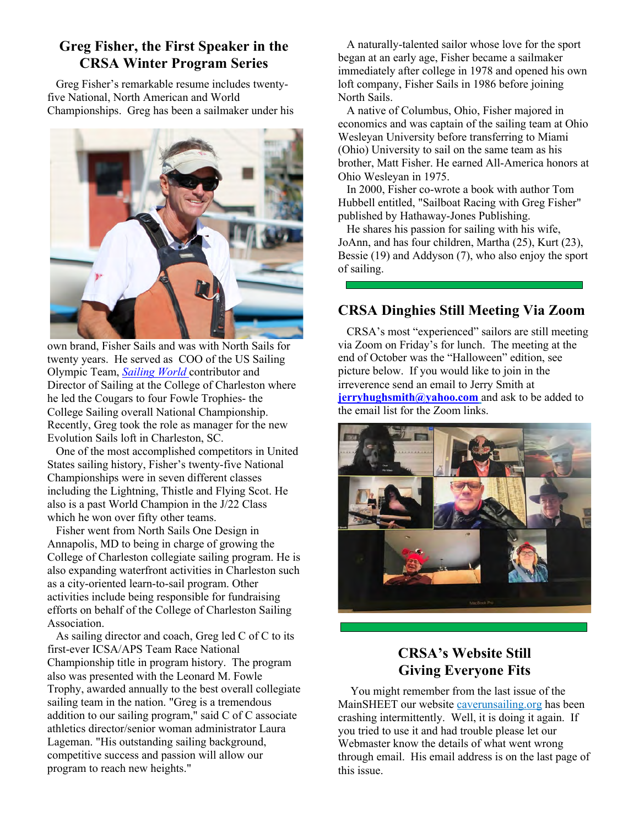### **Greg Fisher, the First Speaker in the CRSA Winter Program Series**

 Greg Fisher's remarkable resume includes twentyfive National, North American and World Championships. Greg has been a sailmaker under his



own brand, Fisher Sails and was with North Sails for twenty years. He served as COO of the US Sailing Olympic Team, *Sailing World* contributor and Director of Sailing at the College of Charleston where he led the Cougars to four Fowle Trophies- the College Sailing overall National Championship. Recently, Greg took the role as manager for the new Evolution Sails loft in Charleston, SC.

 One of the most accomplished competitors in United States sailing history, Fisher's twenty-five National Championships were in seven different classes including the Lightning, Thistle and Flying Scot. He also is a past World Champion in the J/22 Class which he won over fifty other teams.

 Fisher went from North Sails One Design in Annapolis, MD to being in charge of growing the College of Charleston collegiate sailing program. He is also expanding waterfront activities in Charleston such as a city-oriented learn-to-sail program. Other activities include being responsible for fundraising efforts on behalf of the College of Charleston Sailing Association.

 As sailing director and coach, Greg led C of C to its first-ever ICSA/APS Team Race National Championship title in program history. The program also was presented with the Leonard M. Fowle Trophy, awarded annually to the best overall collegiate sailing team in the nation. "Greg is a tremendous addition to our sailing program," said C of C associate athletics director/senior woman administrator Laura Lageman. "His outstanding sailing background, competitive success and passion will allow our program to reach new heights."

 A naturally-talented sailor whose love for the sport began at an early age, Fisher became a sailmaker immediately after college in 1978 and opened his own loft company, Fisher Sails in 1986 before joining North Sails.

 A native of Columbus, Ohio, Fisher majored in economics and was captain of the sailing team at Ohio Wesleyan University before transferring to Miami (Ohio) University to sail on the same team as his brother, Matt Fisher. He earned All-America honors at Ohio Wesleyan in 1975.

 In 2000, Fisher co-wrote a book with author Tom Hubbell entitled, "Sailboat Racing with Greg Fisher" published by Hathaway-Jones Publishing.

 He shares his passion for sailing with his wife, JoAnn, and has four children, Martha (25), Kurt (23), Bessie (19) and Addyson (7), who also enjoy the sport of sailing.

### **CRSA Dinghies Still Meeting Via Zoom**

CRSA's most "experienced" sailors are still meeting via Zoom on Friday's for lunch. The meeting at the end of October was the "Halloween" edition, see picture below. If you would like to join in the irreverence send an email to Jerry Smith at **jerryhughsmith@yahoo.com** and ask to be added to the email list for the Zoom links.



### **CRSA's Website Still Giving Everyone Fits**

You might remember from the last issue of the MainSHEET our website caverunsailing.org has been crashing intermittently. Well, it is doing it again. If you tried to use it and had trouble please let our Webmaster know the details of what went wrong through email. His email address is on the last page of this issue.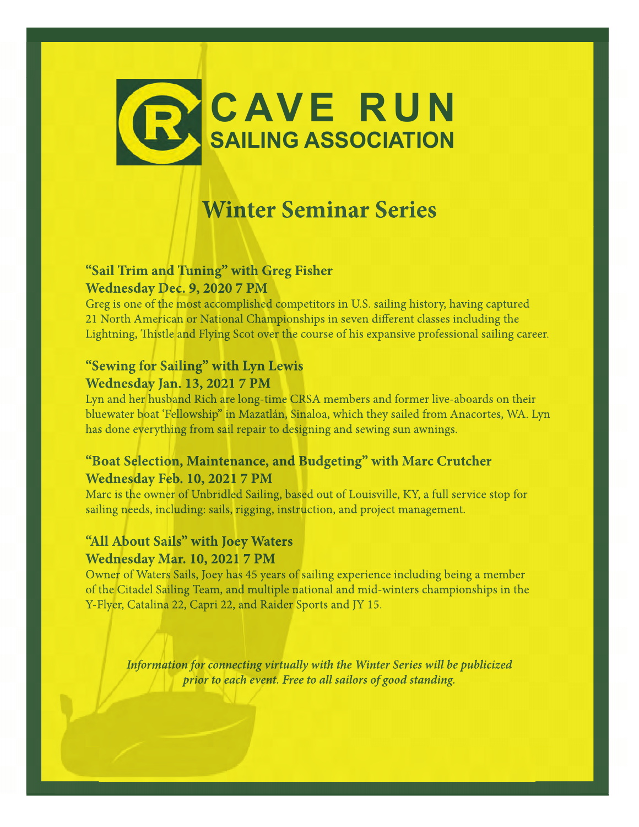

## **Winter Seminar Series**

### **"Sail Trim and Tuning" with Greg Fisher Wednesday Dec. 9, 2020 7 PM**

Greg is one of the most accomplished competitors in U.S. sailing history, having captured 21 North American or National Championships in seven different classes including the Lightning, Thistle and Flying Scot over the course of his expansive professional sailing career.

### **"Sewing for Sailing" with Lyn Lewis**

#### **Wednesday Jan. 13, 2021 7 PM**

Lyn and her husband Rich are long-time CRSA members and former live-aboards on their bluewater boat 'Fellowship" in Mazatlán, Sinaloa, which they sailed from Anacortes, WA. Lyn has done everything from sail repair to designing and sewing sun awnings.

### **"Boat Selection, Maintenance, and Budgeting" with Marc Crutcher Wednesday Feb. 10, 2021 7 PM**

Marc is the owner of Unbridled Sailing, based out of Louisville, KY, a full service stop for sailing needs, including: sails, rigging, instruction, and project management.

### **"All About Sails" with Joey Waters Wednesday Mar. 10, 2021 7 PM**

Owner of Waters Sails, Joey has 45 years of sailing experience including being a member of the Citadel Sailing Team, and multiple national and mid-winters championships in the Y-Flyer, Catalina 22, Capri 22, and Raider Sports and JY 15.

*Information for connecting virtually with the Winter Series will be publicized prior to each event. Free to all sailors of good standing.*